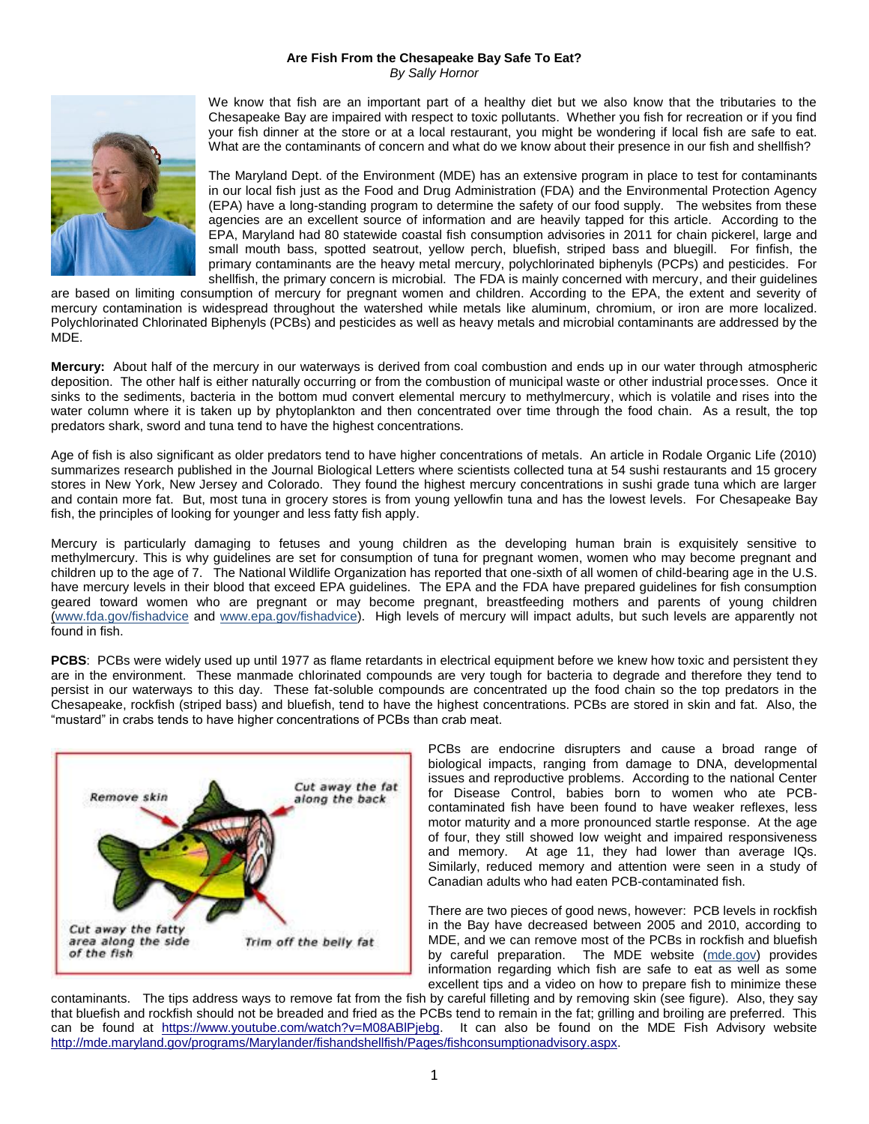## **Are Fish From the Chesapeake Bay Safe To Eat?** *By Sally Hornor*



We know that fish are an important part of a healthy diet but we also know that the tributaries to the Chesapeake Bay are impaired with respect to toxic pollutants. Whether you fish for recreation or if you find your fish dinner at the store or at a local restaurant, you might be wondering if local fish are safe to eat. What are the contaminants of concern and what do we know about their presence in our fish and shellfish?

The Maryland Dept. of the Environment (MDE) has an extensive program in place to test for contaminants in our local fish just as the Food and Drug Administration (FDA) and the Environmental Protection Agency (EPA) have a long-standing program to determine the safety of our food supply. The websites from these agencies are an excellent source of information and are heavily tapped for this article. According to the EPA, Maryland had 80 statewide coastal fish consumption advisories in 2011 for chain pickerel, large and small mouth bass, spotted seatrout, yellow perch, bluefish, striped bass and bluegill. For finfish, the primary contaminants are the heavy metal mercury, polychlorinated biphenyls (PCPs) and pesticides. For shellfish, the primary concern is microbial. The FDA is mainly concerned with mercury, and their guidelines

are based on limiting consumption of mercury for pregnant women and children. According to the EPA, the extent and severity of mercury contamination is widespread throughout the watershed while metals like aluminum, chromium, or iron are more localized. Polychlorinated Chlorinated Biphenyls (PCBs) and pesticides as well as heavy metals and microbial contaminants are addressed by the MDE.

**Mercury:** About half of the mercury in our waterways is derived from coal combustion and ends up in our water through atmospheric deposition. The other half is either naturally occurring or from the combustion of municipal waste or other industrial processes. Once it sinks to the sediments, bacteria in the bottom mud convert elemental mercury to methylmercury, which is volatile and rises into the water column where it is taken up by phytoplankton and then concentrated over time through the food chain. As a result, the top predators shark, sword and tuna tend to have the highest concentrations.

Age of fish is also significant as older predators tend to have higher concentrations of metals. An article in Rodale Organic Life (2010) summarizes research published in the Journal Biological Letters where scientists collected tuna at 54 sushi restaurants and 15 grocery stores in New York, New Jersey and Colorado. They found the highest mercury concentrations in sushi grade tuna which are larger and contain more fat. But, most tuna in grocery stores is from young yellowfin tuna and has the lowest levels. For Chesapeake Bay fish, the principles of looking for younger and less fatty fish apply.

Mercury is particularly damaging to fetuses and young children as the developing human brain is exquisitely sensitive to methylmercury. This is why guidelines are set for consumption of tuna for pregnant women, women who may become pregnant and children up to the age of 7. The National Wildlife Organization has reported that one-sixth of all women of child-bearing age in the U.S. have mercury levels in their blood that exceed EPA guidelines. The EPA and the FDA have prepared guidelines for fish consumption geared toward women who are pregnant or may become pregnant, breastfeeding mothers and parents of young children (www.fda.gov/fishadvice and www.epa.gov/fishadvice). High levels of mercury will impact adults, but such levels are apparently not found in fish.

**PCBS**: PCBs were widely used up until 1977 as flame retardants in electrical equipment before we knew how toxic and persistent they are in the environment. These manmade chlorinated compounds are very tough for bacteria to degrade and therefore they tend to persist in our waterways to this day. These fat-soluble compounds are concentrated up the food chain so the top predators in the Chesapeake, rockfish (striped bass) and bluefish, tend to have the highest concentrations. PCBs are stored in skin and fat. Also, the "mustard" in crabs tends to have higher concentrations of PCBs than crab meat.



PCBs are endocrine disrupters and cause a broad range of biological impacts, ranging from damage to DNA, developmental issues and reproductive problems. According to the national Center for Disease Control, babies born to women who ate PCBcontaminated fish have been found to have weaker reflexes, less motor maturity and a more pronounced startle response. At the age of four, they still showed low weight and impaired responsiveness and memory. At age 11, they had lower than average IQs. Similarly, reduced memory and attention were seen in a study of Canadian adults who had eaten PCB-contaminated fish.

There are two pieces of good news, however: PCB levels in rockfish in the Bay have decreased between 2005 and 2010, according to MDE, and we can remove most of the PCBs in rockfish and bluefish by careful preparation. The MDE website (mde.gov) provides information regarding which fish are safe to eat as well as some excellent tips and a video on how to prepare fish to minimize these

contaminants. The tips address ways to remove fat from the fish by careful filleting and by removing skin (see figure). Also, they say that bluefish and rockfish should not be breaded and fried as the PCBs tend to remain in the fat; grilling and broiling are preferred. This can be found at [https://www.youtube.com/watch?v=M08ABlPjebg.](https://www.youtube.com/watch?v=M08ABlPjebg) It can also be found on the MDE Fish Advisory website [http://mde.maryland.gov/programs/Marylander/fishandshellfish/Pages/fishconsumptionadvisory.aspx.](http://mde.maryland.gov/programs/Marylander/fishandshellfish/Pages/fishconsumptionadvisory.aspx)